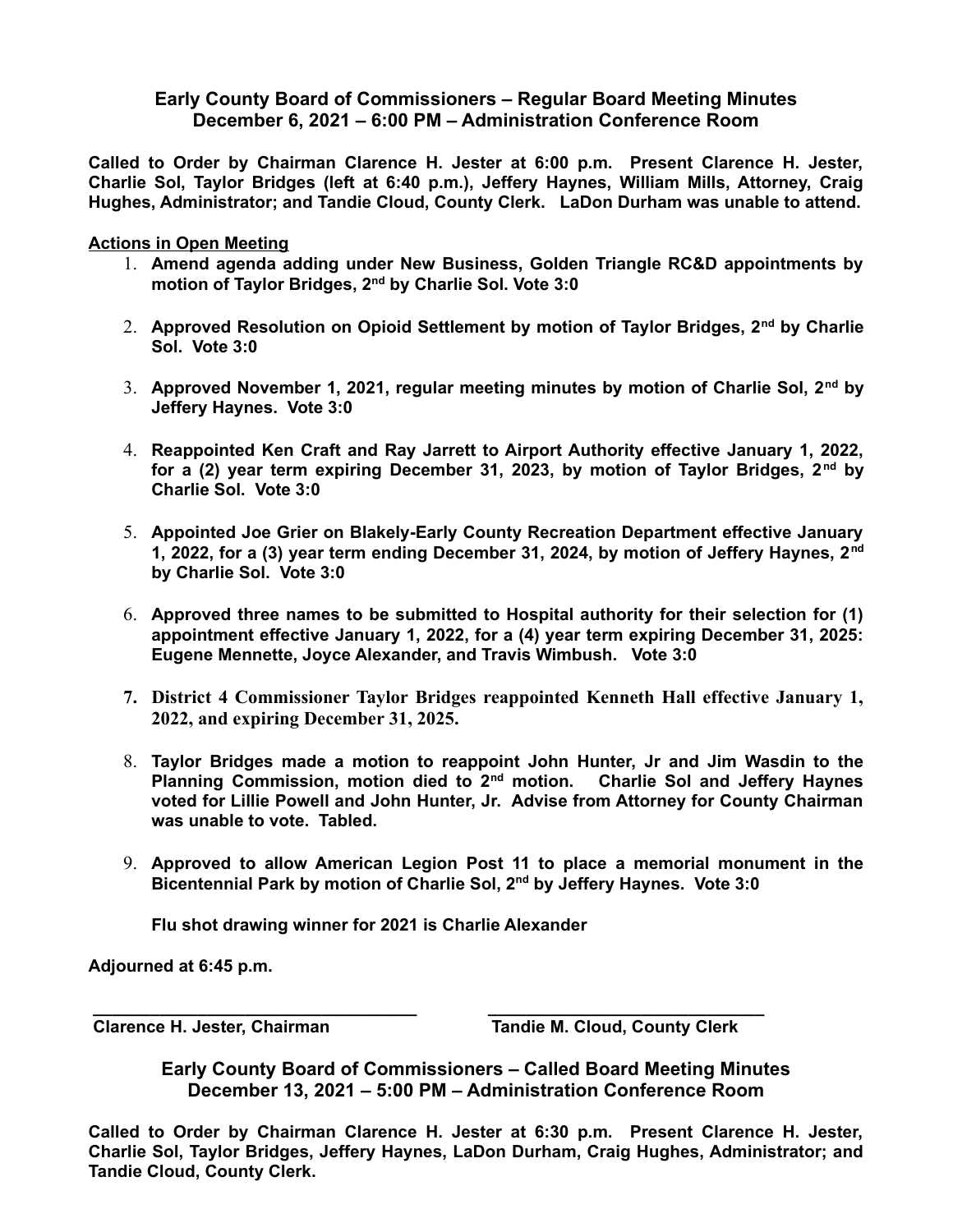## **Early County Board of Commissioners – Regular Board Meeting Minutes December 6, 2021 – 6:00 PM – Administration Conference Room**

**Called to Order by Chairman Clarence H. Jester at 6:00 p.m. Present Clarence H. Jester, Charlie Sol, Taylor Bridges (left at 6:40 p.m.), Jeffery Haynes, William Mills, Attorney, Craig Hughes, Administrator; and Tandie Cloud, County Clerk. LaDon Durham was unable to attend.**

**Actions in Open Meeting**

- 1. **Amend agenda adding under New Business, Golden Triangle RC&D appointments by motion of Taylor Bridges, 2nd by Charlie Sol. Vote 3:0**
- 2. **Approved Resolution on Opioid Settlement by motion of Taylor Bridges, 2nd by Charlie Sol. Vote 3:0**
- 3. **Approved November 1, 2021, regular meeting minutes by motion of Charlie Sol, 2nd by Jeffery Haynes. Vote 3:0**
- 4. **Reappointed Ken Craft and Ray Jarrett to Airport Authority effective January 1, 2022, for a (2) year term expiring December 31, 2023, by motion of Taylor Bridges, 2nd by Charlie Sol. Vote 3:0**
- 5. **Appointed Joe Grier on Blakely-Early County Recreation Department effective January 1, 2022, for a (3) year term ending December 31, 2024, by motion of Jeffery Haynes, 2nd by Charlie Sol. Vote 3:0**
- 6. **Approved three names to be submitted to Hospital authority for their selection for (1) appointment effective January 1, 2022, for a (4) year term expiring December 31, 2025: Eugene Mennette, Joyce Alexander, and Travis Wimbush. Vote 3:0**
- **7. District 4 Commissioner Taylor Bridges reappointed Kenneth Hall effective January 1, 2022, and expiring December 31, 2025.**
- 8. **Taylor Bridges made a motion to reappoint John Hunter, Jr and Jim Wasdin to the Planning Commission, motion died to 2nd motion. Charlie Sol and Jeffery Haynes voted for Lillie Powell and John Hunter, Jr. Advise from Attorney for County Chairman was unable to vote. Tabled.**
- 9. **Approved to allow American Legion Post 11 to place a memorial monument in the Bicentennial Park by motion of Charlie Sol, 2nd by Jeffery Haynes. Vote 3:0**

**Flu shot drawing winner for 2021 is Charlie Alexander**

**Adjourned at 6:45 p.m.** 

 **Clarence H. Jester, Chairman Tandie M. Cloud, County Clerk** 

**Early County Board of Commissioners – Called Board Meeting Minutes December 13, 2021 – 5:00 PM – Administration Conference Room**

 **\_\_\_\_\_\_\_\_\_\_\_\_\_\_\_\_\_\_\_\_\_\_\_\_\_\_\_\_\_\_\_\_\_\_ \_\_\_\_\_\_\_\_\_\_\_\_\_\_\_\_\_\_\_\_\_\_\_\_\_\_\_\_\_**

**Called to Order by Chairman Clarence H. Jester at 6:30 p.m. Present Clarence H. Jester, Charlie Sol, Taylor Bridges, Jeffery Haynes, LaDon Durham, Craig Hughes, Administrator; and Tandie Cloud, County Clerk.**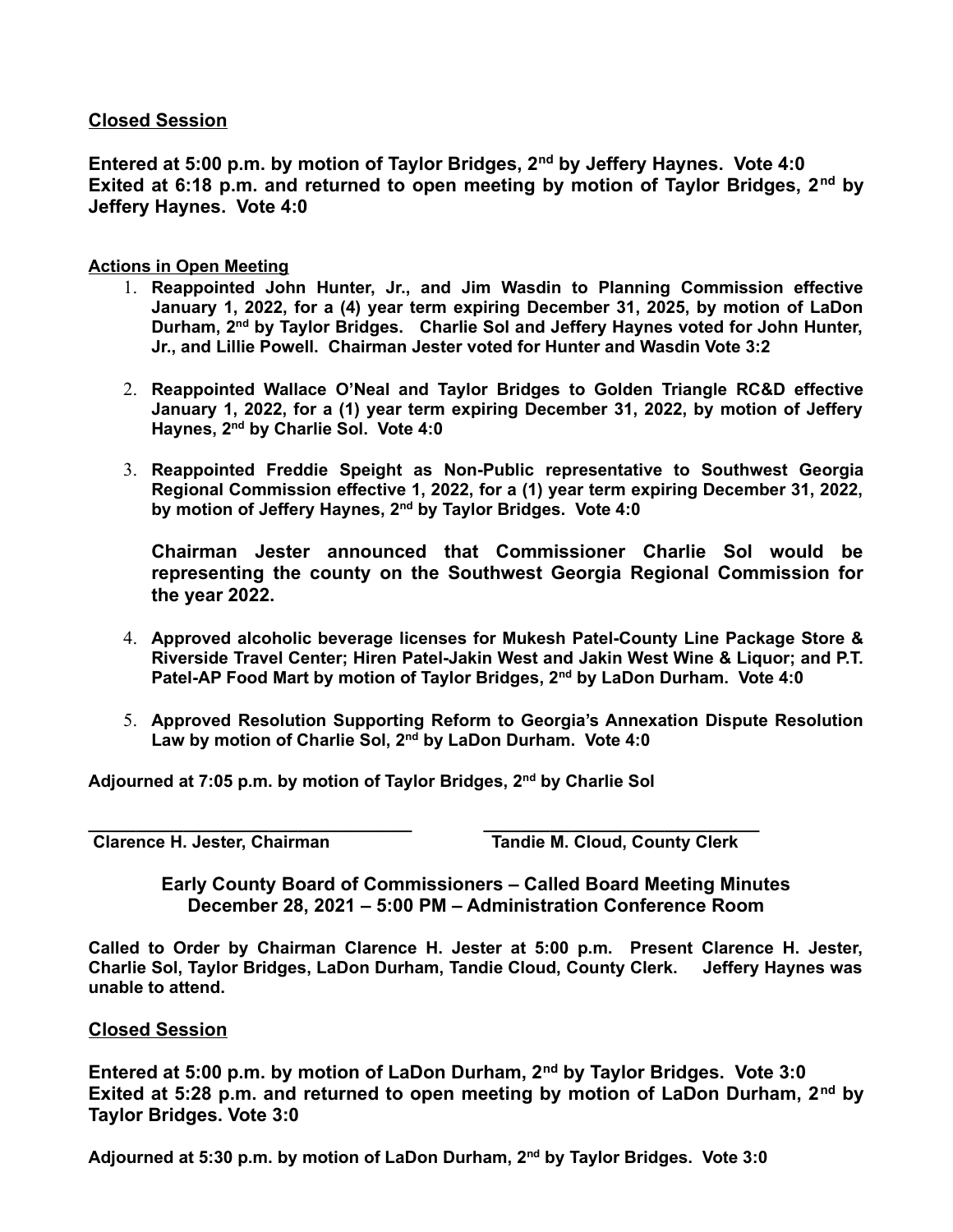## **Closed Session**

**Entered at 5:00 p.m. by motion of Taylor Bridges, 2nd by Jeffery Haynes. Vote 4:0 Exited at 6:18 p.m. and returned to open meeting by motion of Taylor Bridges, 2nd by Jeffery Haynes. Vote 4:0**

## **Actions in Open Meeting**

- 1. **Reappointed John Hunter, Jr., and Jim Wasdin to Planning Commission effective January 1, 2022, for a (4) year term expiring December 31, 2025, by motion of LaDon Durham, 2nd by Taylor Bridges. Charlie Sol and Jeffery Haynes voted for John Hunter, Jr., and Lillie Powell. Chairman Jester voted for Hunter and Wasdin Vote 3:2**
- 2. **Reappointed Wallace O'Neal and Taylor Bridges to Golden Triangle RC&D effective January 1, 2022, for a (1) year term expiring December 31, 2022, by motion of Jeffery Haynes, 2nd by Charlie Sol. Vote 4:0**
- 3. **Reappointed Freddie Speight as Non-Public representative to Southwest Georgia Regional Commission effective 1, 2022, for a (1) year term expiring December 31, 2022, by motion of Jeffery Haynes, 2nd by Taylor Bridges. Vote 4:0**

**Chairman Jester announced that Commissioner Charlie Sol would be representing the county on the Southwest Georgia Regional Commission for the year 2022.**

- 4. **Approved alcoholic beverage licenses for Mukesh Patel-County Line Package Store & Riverside Travel Center; Hiren Patel-Jakin West and Jakin West Wine & Liquor; and P.T. Patel-AP Food Mart by motion of Taylor Bridges, 2nd by LaDon Durham. Vote 4:0**
- 5. **Approved Resolution Supporting Reform to Georgia's Annexation Dispute Resolution Law by motion of Charlie Sol, 2nd by LaDon Durham. Vote 4:0**

**Adjourned at 7:05 p.m. by motion of Taylor Bridges, 2nd by Charlie Sol**

**\_\_\_\_\_\_\_\_\_\_\_\_\_\_\_\_\_\_\_\_\_\_\_\_\_\_\_\_\_\_\_\_\_\_ \_\_\_\_\_\_\_\_\_\_\_\_\_\_\_\_\_\_\_\_\_\_\_\_\_\_\_\_\_ Clarence H. Jester, Chairman Tandie M. Cloud, County Clerk** 

> **Early County Board of Commissioners – Called Board Meeting Minutes December 28, 2021 – 5:00 PM – Administration Conference Room**

**Called to Order by Chairman Clarence H. Jester at 5:00 p.m. Present Clarence H. Jester, Charlie Sol, Taylor Bridges, LaDon Durham, Tandie Cloud, County Clerk. Jeffery Haynes was unable to attend.**

## **Closed Session**

**Entered at 5:00 p.m. by motion of LaDon Durham, 2nd by Taylor Bridges. Vote 3:0 Exited at 5:28 p.m. and returned to open meeting by motion of LaDon Durham, 2nd by Taylor Bridges. Vote 3:0**

**Adjourned at 5:30 p.m. by motion of LaDon Durham, 2nd by Taylor Bridges. Vote 3:0**